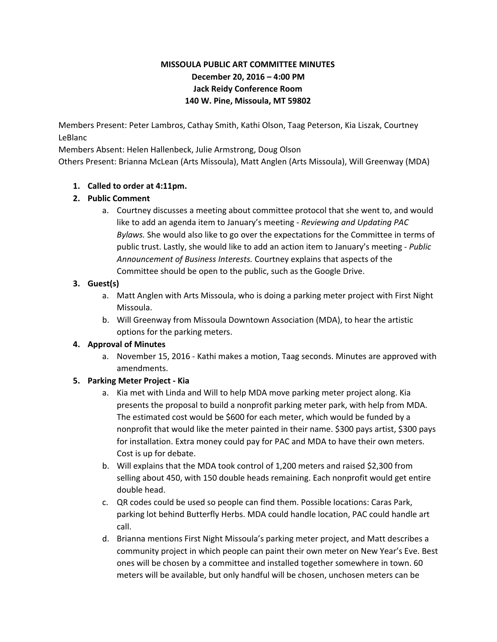# **MISSOULA PUBLIC ART COMMITTEE MINUTES December 20, 2016 – 4:00 PM Jack Reidy Conference Room 140 W. Pine, Missoula, MT 59802**

Members Present: Peter Lambros, Cathay Smith, Kathi Olson, Taag Peterson, Kia Liszak, Courtney LeBlanc

Members Absent: Helen Hallenbeck, Julie Armstrong, Doug Olson

Others Present: Brianna McLean (Arts Missoula), Matt Anglen (Arts Missoula), Will Greenway (MDA)

### **1. Called to order at 4:11pm.**

## **2. Public Comment**

a. Courtney discusses a meeting about committee protocol that she went to, and would like to add an agenda item to January's meeting - *Reviewing and Updating PAC Bylaws.* She would also like to go over the expectations for the Committee in terms of public trust. Lastly, she would like to add an action item to January's meeting - *Public Announcement of Business Interests.* Courtney explains that aspects of the Committee should be open to the public, such as the Google Drive.

## **3. Guest(s)**

- a. Matt Anglen with Arts Missoula, who is doing a parking meter project with First Night Missoula.
- b. Will Greenway from Missoula Downtown Association (MDA), to hear the artistic options for the parking meters.

### **4. Approval of Minutes**

a. November 15, 2016 - Kathi makes a motion, Taag seconds. Minutes are approved with amendments.

# **5. Parking Meter Project - Kia**

- a. Kia met with Linda and Will to help MDA move parking meter project along. Kia presents the proposal to build a nonprofit parking meter park, with help from MDA. The estimated cost would be \$600 for each meter, which would be funded by a nonprofit that would like the meter painted in their name. \$300 pays artist, \$300 pays for installation. Extra money could pay for PAC and MDA to have their own meters. Cost is up for debate.
- b. Will explains that the MDA took control of 1,200 meters and raised \$2,300 from selling about 450, with 150 double heads remaining. Each nonprofit would get entire double head.
- c. QR codes could be used so people can find them. Possible locations: Caras Park, parking lot behind Butterfly Herbs. MDA could handle location, PAC could handle art call.
- d. Brianna mentions First Night Missoula's parking meter project, and Matt describes a community project in which people can paint their own meter on New Year's Eve. Best ones will be chosen by a committee and installed together somewhere in town. 60 meters will be available, but only handful will be chosen, unchosen meters can be